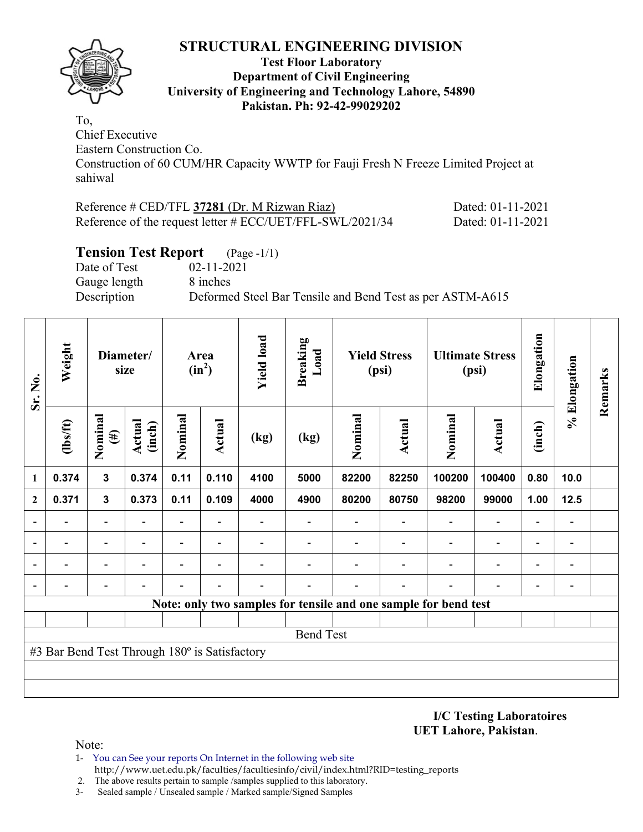

#### **Test Floor Laboratory Department of Civil Engineering University of Engineering and Technology Lahore, 54890 Pakistan. Ph: 92-42-99029202**

To, Chief Executive

Eastern Construction Co.

Construction of 60 CUM/HR Capacity WWTP for Fauji Fresh N Freeze Limited Project at sahiwal

| Reference # CED/TFL 37281 (Dr. M Rizwan Riaz)                | Dated: 01-11-2021 |
|--------------------------------------------------------------|-------------------|
| Reference of the request letter $\#$ ECC/UET/FFL-SWL/2021/34 | Dated: 01-11-2021 |

### **Tension Test Report** (Page -1/1)

Date of Test 02-11-2021 Gauge length 8 inches

Description Deformed Steel Bar Tensile and Bend Test as per ASTM-A615

| Sr. No.      | Weight                                        | Diameter/<br>size        |                  | Area<br>$(in^2)$             |                          | <b>Yield load</b> | <b>Breaking</b><br>Load  | <b>Yield Stress</b><br>(psi) |               | <b>Ultimate Stress</b><br>(psi)                                 |                          | Elongation               | % Elongation                 | Remarks |
|--------------|-----------------------------------------------|--------------------------|------------------|------------------------------|--------------------------|-------------------|--------------------------|------------------------------|---------------|-----------------------------------------------------------------|--------------------------|--------------------------|------------------------------|---------|
|              | (1bs/ft)                                      | Nominal<br>$(\#)$        | Actual<br>(inch) | Nominal                      | Actual                   | (kg)              | (kg)                     | Nominal                      | <b>Actual</b> | Nominal                                                         | <b>Actual</b>            | (inch)                   |                              |         |
| 1            | 0.374                                         | $\mathbf{3}$             | 0.374            | 0.11                         | 0.110                    | 4100              | 5000                     | 82200                        | 82250         | 100200                                                          | 100400                   | 0.80                     | 10.0                         |         |
| $\mathbf{2}$ | 0.371                                         | $\mathbf{3}$             | 0.373            | 0.11                         | 0.109                    | 4000              | 4900                     | 80200                        | 80750         | 98200                                                           | 99000                    | 1.00                     | $12.5$                       |         |
|              |                                               | $\overline{\phantom{0}}$ |                  | $\overline{\phantom{0}}$     |                          |                   | $\overline{\phantom{0}}$ |                              |               |                                                                 | $\overline{\phantom{0}}$ | $\overline{\phantom{0}}$ | $\qquad \qquad \blacksquare$ |         |
|              |                                               |                          |                  | $\qquad \qquad \blacksquare$ | $\overline{\phantom{a}}$ |                   |                          |                              |               |                                                                 | $\blacksquare$           | $\overline{\phantom{0}}$ | $\qquad \qquad \blacksquare$ |         |
|              |                                               |                          |                  |                              |                          |                   |                          |                              |               |                                                                 |                          |                          | $\blacksquare$               |         |
|              |                                               |                          |                  |                              |                          |                   |                          |                              |               |                                                                 |                          |                          | $\overline{a}$               |         |
|              |                                               |                          |                  |                              |                          |                   |                          |                              |               | Note: only two samples for tensile and one sample for bend test |                          |                          |                              |         |
|              |                                               |                          |                  |                              |                          |                   |                          |                              |               |                                                                 |                          |                          |                              |         |
|              |                                               |                          |                  |                              |                          |                   | <b>Bend Test</b>         |                              |               |                                                                 |                          |                          |                              |         |
|              | #3 Bar Bend Test Through 180° is Satisfactory |                          |                  |                              |                          |                   |                          |                              |               |                                                                 |                          |                          |                              |         |
|              |                                               |                          |                  |                              |                          |                   |                          |                              |               |                                                                 |                          |                          |                              |         |
|              |                                               |                          |                  |                              |                          |                   |                          |                              |               |                                                                 |                          |                          |                              |         |

**I/C Testing Laboratoires UET Lahore, Pakistan**.

Note:

- 1- You can See your reports On Internet in the following web site http://www.uet.edu.pk/faculties/facultiesinfo/civil/index.html?RID=testing\_reports
- 2. The above results pertain to sample /samples supplied to this laboratory.
- 3- Sealed sample / Unsealed sample / Marked sample/Signed Samples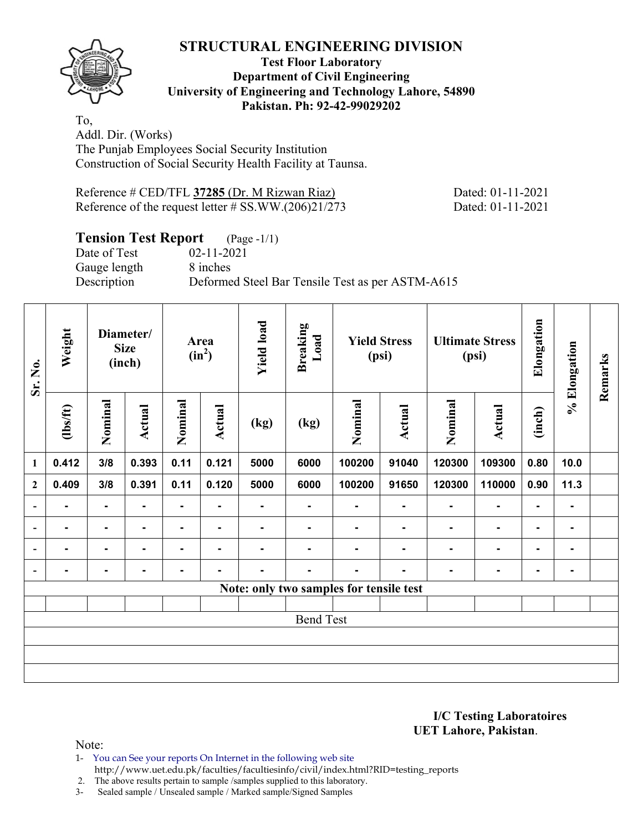

#### **Test Floor Laboratory Department of Civil Engineering University of Engineering and Technology Lahore, 54890 Pakistan. Ph: 92-42-99029202**

To, Addl. Dir. (Works) The Punjab Employees Social Security Institution Construction of Social Security Health Facility at Taunsa.

Reference # CED/TFL **37285** (Dr. M Rizwan Riaz) Dated: 01-11-2021 Reference of the request letter # SS.WW.(206)21/273 Dated: 01-11-2021

# **Tension Test Report** (Page -1/1)

Gauge length 8 inches

Date of Test 02-11-2021 Description Deformed Steel Bar Tensile Test as per ASTM-A615

| Sr. No.                  | Weight<br>Diameter/<br><b>Size</b><br>(inch) |                | Area<br>$(in^2)$ |         | <b>Yield load</b> | <b>Breaking</b><br>Load | <b>Yield Stress</b><br>(psi) |                                         | <b>Ultimate Stress</b><br>(psi) |                | Elongation     | % Elongation   | Remarks        |  |
|--------------------------|----------------------------------------------|----------------|------------------|---------|-------------------|-------------------------|------------------------------|-----------------------------------------|---------------------------------|----------------|----------------|----------------|----------------|--|
|                          | $\frac{2}{10}$                               | Nominal        | Actual           | Nominal | Actual            | (kg)                    | (kg)                         | Nominal                                 | Actual                          | Nominal        | <b>Actual</b>  | (inch)         |                |  |
| 1                        | 0.412                                        | 3/8            | 0.393            | 0.11    | 0.121             | 5000                    | 6000                         | 100200                                  | 91040                           | 120300         | 109300         | 0.80           | 10.0           |  |
| $\mathbf{2}$             | 0.409                                        | 3/8            | 0.391            | 0.11    | 0.120             | 5000                    | 6000                         | 100200                                  | 91650                           | 120300         | 110000         | 0.90           | 11.3           |  |
| $\overline{\phantom{a}}$ | $\blacksquare$                               | $\blacksquare$ | $\blacksquare$   | ۰       | $\blacksquare$    | ۰                       | ۰                            |                                         | $\blacksquare$                  | $\blacksquare$ | $\blacksquare$ | $\blacksquare$ | $\blacksquare$ |  |
| $\overline{a}$           | ۰                                            | $\blacksquare$ | $\blacksquare$   | ٠       | $\blacksquare$    | ۰                       | $\blacksquare$               |                                         | $\blacksquare$                  | $\blacksquare$ | $\blacksquare$ |                | $\blacksquare$ |  |
| $\blacksquare$           | -                                            | ۰              |                  |         | ٠                 |                         |                              |                                         | $\blacksquare$                  | ۰              | $\blacksquare$ | $\blacksquare$ | ۰              |  |
| $\qquad \qquad$          |                                              | $\blacksquare$ |                  |         |                   |                         | -                            |                                         |                                 |                | $\blacksquare$ | $\blacksquare$ | $\blacksquare$ |  |
|                          |                                              |                |                  |         |                   |                         |                              | Note: only two samples for tensile test |                                 |                |                |                |                |  |
|                          |                                              |                |                  |         |                   |                         |                              |                                         |                                 |                |                |                |                |  |
|                          |                                              |                |                  |         |                   |                         | <b>Bend Test</b>             |                                         |                                 |                |                |                |                |  |
|                          |                                              |                |                  |         |                   |                         |                              |                                         |                                 |                |                |                |                |  |
|                          |                                              |                |                  |         |                   |                         |                              |                                         |                                 |                |                |                |                |  |
|                          |                                              |                |                  |         |                   |                         |                              |                                         |                                 |                |                |                |                |  |

**I/C Testing Laboratoires UET Lahore, Pakistan**.

Note:

- 1- You can See your reports On Internet in the following web site
	- http://www.uet.edu.pk/faculties/facultiesinfo/civil/index.html?RID=testing\_reports

2. The above results pertain to sample /samples supplied to this laboratory.

3- Sealed sample / Unsealed sample / Marked sample/Signed Samples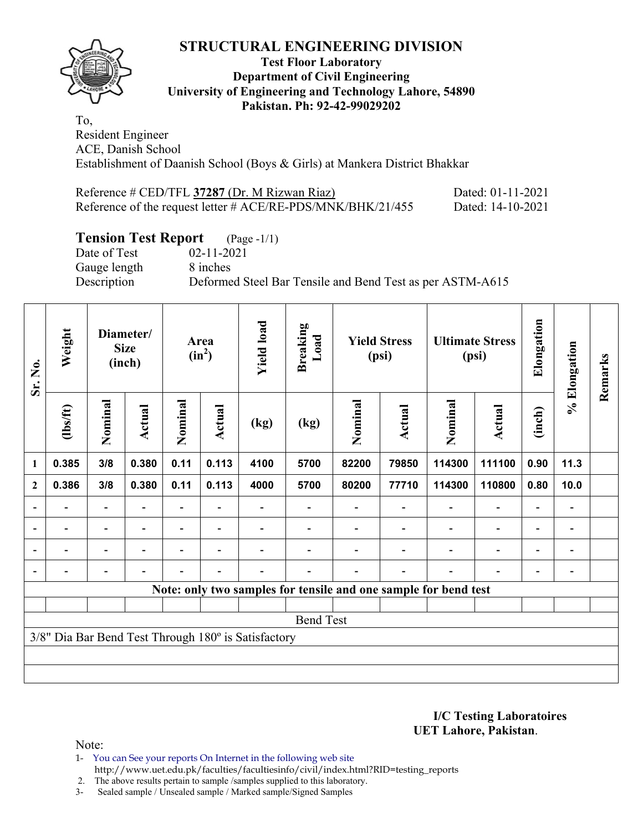

#### **Test Floor Laboratory Department of Civil Engineering University of Engineering and Technology Lahore, 54890 Pakistan. Ph: 92-42-99029202**

To, Resident Engineer ACE, Danish School Establishment of Daanish School (Boys & Girls) at Mankera District Bhakkar

| Reference # CED/TFL 37287 (Dr. M Rizwan Riaz)                  | Dated: 01-11-2021 |
|----------------------------------------------------------------|-------------------|
| Reference of the request letter $\#$ ACE/RE-PDS/MNK/BHK/21/455 | Dated: 14-10-2021 |

# **Tension Test Report** (Page -1/1)

Gauge length 8 inches

Date of Test 02-11-2021 Description Deformed Steel Bar Tensile and Bend Test as per ASTM-A615

| Sr. No.                  | Weight         | Diameter/<br><b>Size</b><br>(inch) |                | Area<br>$(in^2)$ |                          | <b>Yield load</b>                                   | <b>Breaking</b><br>Load | <b>Yield Stress</b><br>(psi) |        | <b>Ultimate Stress</b><br>(psi)                                 |                          | Elongation               | % Elongation                 | Remarks |
|--------------------------|----------------|------------------------------------|----------------|------------------|--------------------------|-----------------------------------------------------|-------------------------|------------------------------|--------|-----------------------------------------------------------------|--------------------------|--------------------------|------------------------------|---------|
|                          | $\frac{2}{10}$ | Nominal                            | Actual         | Nominal          | Actual                   | (kg)                                                | (kg)                    | Nominal                      | Actual | Nominal                                                         | <b>Actual</b>            | (inch)                   |                              |         |
| $\mathbf{1}$             | 0.385          | 3/8                                | 0.380          | 0.11             | 0.113                    | 4100                                                | 5700                    | 82200                        | 79850  | 114300                                                          | 111100                   | 0.90                     | 11.3                         |         |
| $\mathbf{2}$             | 0.386          | 3/8                                | 0.380          | 0.11             | 0.113                    | 4000                                                | 5700                    | 80200                        | 77710  | 114300                                                          | 110800                   | 0.80                     | 10.0                         |         |
| $\overline{\phantom{a}}$ |                | $\qquad \qquad \blacksquare$       |                |                  |                          |                                                     |                         |                              |        |                                                                 | $\overline{\phantom{0}}$ | $\overline{\phantom{0}}$ | $\qquad \qquad \blacksquare$ |         |
| $\blacksquare$           | $\blacksquare$ | $\overline{\phantom{0}}$           |                |                  | $\overline{\phantom{a}}$ |                                                     |                         |                              |        | $\blacksquare$                                                  | $\overline{\phantom{0}}$ | $\overline{\phantom{0}}$ | $\qquad \qquad \blacksquare$ |         |
| $\blacksquare$           | $\blacksquare$ | $\qquad \qquad \blacksquare$       | $\blacksquare$ | $\blacksquare$   | $\overline{\phantom{0}}$ |                                                     |                         |                              |        | $\blacksquare$                                                  | $\overline{\phantom{0}}$ | $\overline{\phantom{0}}$ | $\qquad \qquad \blacksquare$ |         |
|                          |                |                                    |                |                  | $\overline{\phantom{0}}$ |                                                     |                         |                              |        |                                                                 |                          | $\overline{\phantom{0}}$ |                              |         |
|                          |                |                                    |                |                  |                          |                                                     |                         |                              |        | Note: only two samples for tensile and one sample for bend test |                          |                          |                              |         |
|                          |                |                                    |                |                  |                          |                                                     |                         |                              |        |                                                                 |                          |                          |                              |         |
|                          |                |                                    |                |                  |                          |                                                     | <b>Bend Test</b>        |                              |        |                                                                 |                          |                          |                              |         |
|                          |                |                                    |                |                  |                          | 3/8" Dia Bar Bend Test Through 180° is Satisfactory |                         |                              |        |                                                                 |                          |                          |                              |         |
|                          |                |                                    |                |                  |                          |                                                     |                         |                              |        |                                                                 |                          |                          |                              |         |
|                          |                |                                    |                |                  |                          |                                                     |                         |                              |        |                                                                 |                          |                          |                              |         |

**I/C Testing Laboratoires UET Lahore, Pakistan**.

Note:

1- You can See your reports On Internet in the following web site http://www.uet.edu.pk/faculties/facultiesinfo/civil/index.html?RID=testing\_reports

2. The above results pertain to sample /samples supplied to this laboratory.

3- Sealed sample / Unsealed sample / Marked sample/Signed Samples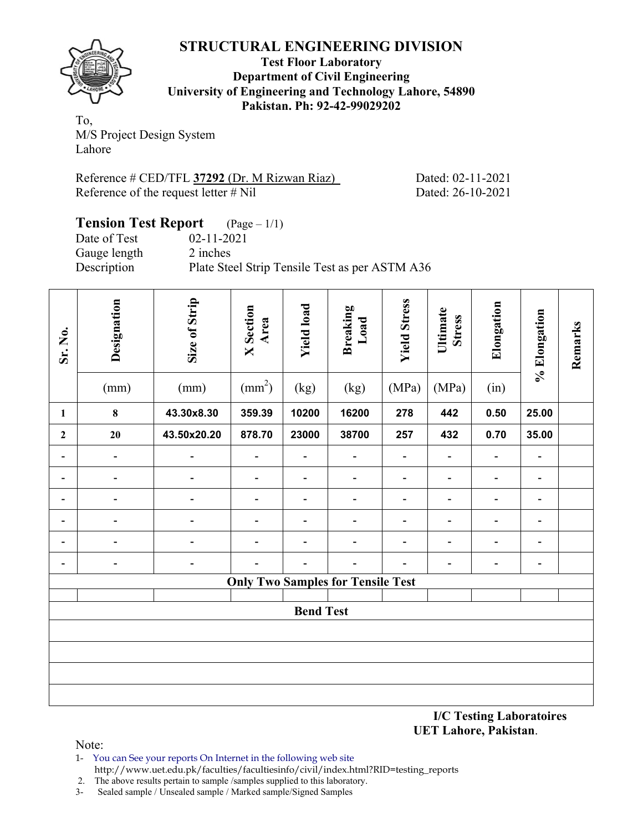

**Test Floor Laboratory Department of Civil Engineering University of Engineering and Technology Lahore, 54890 Pakistan. Ph: 92-42-99029202** 

To, M/S Project Design System Lahore

Reference # CED/TFL **37292** (Dr. M Rizwan Riaz) Dated: 02-11-2021 Reference of the request letter # Nil Dated: 26-10-2021

#### **Tension Test Report** (Page – 1/1) Date of Test 02-11-2021 Gauge length 2 inches Description Plate Steel Strip Tensile Test as per ASTM A36

| Sr. No.                      | Designation                  | Size of Strip            | <b>X</b> Section<br>Area     | <b>Yield load</b>            | <b>Breaking</b><br>Load                  | <b>Yield Stress</b>          | Ultimate<br><b>Stress</b>    | Elongation                      | % Elongation                 | Remarks |
|------------------------------|------------------------------|--------------------------|------------------------------|------------------------------|------------------------------------------|------------------------------|------------------------------|---------------------------------|------------------------------|---------|
|                              | (mm)                         | (mm)                     | $\text{(mm}^2)$              | (kg)                         | (kg)                                     | (MPa)                        | (MPa)                        | (in)                            |                              |         |
| $\mathbf{1}$                 | $\pmb{8}$                    | 43.30x8.30               | 359.39                       | 10200                        | 16200                                    | 278                          | 442                          | 0.50                            | 25.00                        |         |
| $\mathbf{2}$                 | 20                           | 43.50x20.20              | 878.70                       | 23000                        | 38700                                    | 257                          | 432                          | 0.70                            | 35.00                        |         |
| $\blacksquare$               | $\qquad \qquad \blacksquare$ | $\overline{\phantom{a}}$ | -                            |                              | -                                        | $\qquad \qquad \blacksquare$ |                              | $\qquad \qquad \blacksquare$    | $\overline{\phantom{a}}$     |         |
| $\overline{\phantom{a}}$     |                              |                          | $\qquad \qquad \blacksquare$ | $\qquad \qquad \blacksquare$ | $\overline{\phantom{0}}$                 | $\overline{\phantom{a}}$     | $\overline{\phantom{0}}$     | $\qquad \qquad \blacksquare$    | $\overline{\phantom{a}}$     |         |
|                              |                              |                          |                              | $\overline{a}$               | $\qquad \qquad \blacksquare$             |                              | $\overline{\phantom{0}}$     | $\overline{\phantom{0}}$        | $\overline{\phantom{a}}$     |         |
| $\qquad \qquad \blacksquare$ | -                            | $\overline{a}$           | -                            | $\overline{\phantom{a}}$     | $\qquad \qquad \blacksquare$             | $\overline{\phantom{a}}$     | $\overline{\phantom{0}}$     | $\qquad \qquad \blacksquare$    | $\overline{\phantom{a}}$     |         |
| $\blacksquare$               | $\overline{\phantom{a}}$     | $\overline{\phantom{a}}$ | $\qquad \qquad \blacksquare$ | $\qquad \qquad \blacksquare$ | -                                        | $\overline{\phantom{a}}$     | $\overline{\phantom{a}}$     | $\qquad \qquad \blacksquare$    | $\qquad \qquad \blacksquare$ |         |
| $\overline{\phantom{a}}$     | -                            | $\overline{\phantom{a}}$ |                              |                              | -                                        |                              | $\qquad \qquad \blacksquare$ | $\qquad \qquad \blacksquare$    | $\overline{\phantom{a}}$     |         |
|                              |                              |                          |                              |                              | <b>Only Two Samples for Tensile Test</b> |                              |                              |                                 |                              |         |
|                              |                              |                          |                              | <b>Bend Test</b>             |                                          |                              |                              |                                 |                              |         |
|                              |                              |                          |                              |                              |                                          |                              |                              |                                 |                              |         |
|                              |                              |                          |                              |                              |                                          |                              |                              |                                 |                              |         |
|                              |                              |                          |                              |                              |                                          |                              |                              |                                 |                              |         |
|                              |                              |                          |                              |                              |                                          |                              |                              | <b>I/C Tosting Laboratoires</b> |                              |         |

**I/C Testing Laboratoires UET Lahore, Pakistan**.

Note:

- 1- You can See your reports On Internet in the following web site http://www.uet.edu.pk/faculties/facultiesinfo/civil/index.html?RID=testing\_reports
- 2. The above results pertain to sample /samples supplied to this laboratory.
- 3- Sealed sample / Unsealed sample / Marked sample/Signed Samples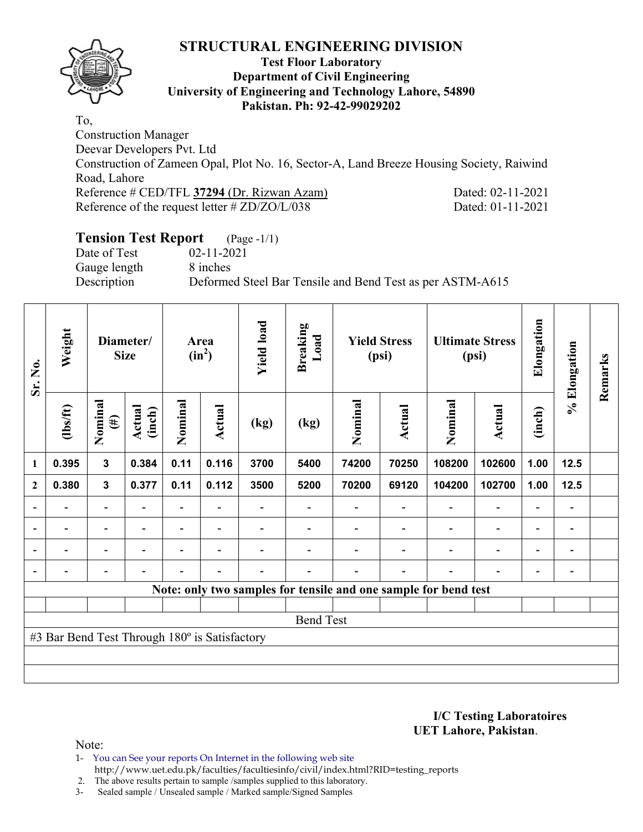

#### **Test Floor Laboratory Department of Civil Engineering University of Engineering and Technology Lahore, 54890 Pakistan. Ph: 92-42-99029202**

To, Construction Manager Deevar Developers Pvt. Ltd Construction of Zameen Opal, Plot No. 16, Sector-A, Land Breeze Housing Society, Raiwind Road, Lahore Reference # CED/TFL **37294** (Dr. Rizwan Azam) Dated: 02-11-2021 Reference of the request letter # ZD/ZO/L/038 Dated: 01-11-2021

# **Tension Test Report** (Page -1/1)

Date of Test 02-11-2021 Gauge length 8 inches

Description Deformed Steel Bar Tensile and Bend Test as per ASTM-A615

| Sr. No.                  | Weight                                        | Diameter/<br><b>Size</b> |                          | Area<br>$(in^2)$         |                          | <b>Yield load</b>            | <b>Breaking</b><br>Load | <b>Yield Stress</b><br>(psi) |                          | <b>Ultimate Stress</b><br>(psi)                                 |                          | Elongation                   | % Elongation             | Remarks |
|--------------------------|-----------------------------------------------|--------------------------|--------------------------|--------------------------|--------------------------|------------------------------|-------------------------|------------------------------|--------------------------|-----------------------------------------------------------------|--------------------------|------------------------------|--------------------------|---------|
|                          | $\frac{2}{10}$                                | Nominal<br>$(\#)$        | Actual<br>(inch)         | Nominal                  | <b>Actual</b>            | (kg)                         | (kg)                    | Nominal                      | Actual                   | Nominal                                                         | <b>Actual</b>            | (inch)                       |                          |         |
| $\mathbf{1}$             | 0.395                                         | $\mathbf{3}$             | 0.384                    | 0.11                     | 0.116                    | 3700                         | 5400                    | 74200                        | 70250                    | 108200                                                          | 102600                   | 1.00                         | 12.5                     |         |
| $\mathbf{2}$             | 0.380                                         | 3                        | 0.377                    | 0.11                     | 0.112                    | 3500                         | 5200                    | 70200                        | 69120                    | 104200                                                          | 102700                   | 1.00                         | 12.5                     |         |
|                          |                                               | $\overline{\phantom{0}}$ |                          |                          |                          |                              |                         |                              |                          |                                                                 |                          |                              |                          |         |
| $\overline{\phantom{0}}$ | $\overline{\phantom{0}}$                      | $\blacksquare$           | $\overline{\phantom{a}}$ | $\overline{\phantom{0}}$ | $\overline{\phantom{a}}$ | $\qquad \qquad \blacksquare$ |                         |                              | $\blacksquare$           | $\overline{\phantom{0}}$                                        | $\overline{a}$           | $\overline{\phantom{0}}$     | $\overline{\phantom{a}}$ |         |
| $\blacksquare$           | -                                             | $\overline{\phantom{0}}$ | $\overline{\phantom{0}}$ |                          |                          |                              |                         |                              | $\overline{\phantom{0}}$ | $\blacksquare$                                                  | $\overline{\phantom{0}}$ | $\overline{\phantom{0}}$     | $\blacksquare$           |         |
| $\overline{\phantom{0}}$ | -                                             | $\overline{\phantom{0}}$ |                          | $\overline{a}$           | $\blacksquare$           | -                            |                         |                              | $\overline{\phantom{0}}$ | $\overline{\phantom{0}}$                                        | $\overline{a}$           | $\qquad \qquad \blacksquare$ |                          |         |
|                          |                                               |                          |                          |                          |                          |                              |                         |                              |                          | Note: only two samples for tensile and one sample for bend test |                          |                              |                          |         |
|                          |                                               |                          |                          |                          |                          |                              |                         |                              |                          |                                                                 |                          |                              |                          |         |
|                          |                                               |                          |                          |                          |                          |                              | <b>Bend Test</b>        |                              |                          |                                                                 |                          |                              |                          |         |
|                          | #3 Bar Bend Test Through 180° is Satisfactory |                          |                          |                          |                          |                              |                         |                              |                          |                                                                 |                          |                              |                          |         |
|                          |                                               |                          |                          |                          |                          |                              |                         |                              |                          |                                                                 |                          |                              |                          |         |
|                          |                                               |                          |                          |                          |                          |                              |                         |                              |                          |                                                                 |                          |                              |                          |         |

**I/C Testing Laboratoires UET Lahore, Pakistan**.

Note:

- 1- You can See your reports On Internet in the following web site http://www.uet.edu.pk/faculties/facultiesinfo/civil/index.html?RID=testing\_reports
- 2. The above results pertain to sample /samples supplied to this laboratory.
- 3- Sealed sample / Unsealed sample / Marked sample/Signed Samples